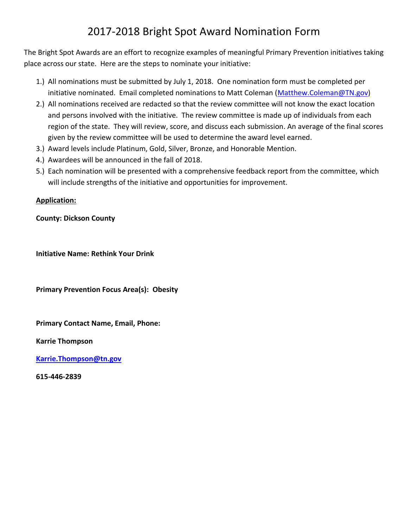## 2017-2018 Bright Spot Award Nomination Form

The Bright Spot Awards are an effort to recognize examples of meaningful Primary Prevention initiatives taking place across our state. Here are the steps to nominate your initiative:

- 1.) All nominations must be submitted by July 1, 2018. One nomination form must be completed per initiative nominated. Email completed nominations to Matt Coleman [\(Matthew.Coleman@TN.gov\)](mailto:Matthew.Coleman@TN.gov)
- 2.) All nominations received are redacted so that the review committee will not know the exact location and persons involved with the initiative. The review committee is made up of individuals from each region of the state. They will review, score, and discuss each submission. An average of the final scores given by the review committee will be used to determine the award level earned.
- 3.) Award levels include Platinum, Gold, Silver, Bronze, and Honorable Mention.
- 4.) Awardees will be announced in the fall of 2018.
- 5.) Each nomination will be presented with a comprehensive feedback report from the committee, which will include strengths of the initiative and opportunities for improvement.

## **Application:**

**County: Dickson County** 

**Initiative Name: Rethink Your Drink** 

**Primary Prevention Focus Area(s): Obesity** 

**Primary Contact Name, Email, Phone:** 

**Karrie Thompson**

**[Karrie.Thompson@tn.gov](mailto:Karrie.Thompson@tn.gov)**

**615-446-2839**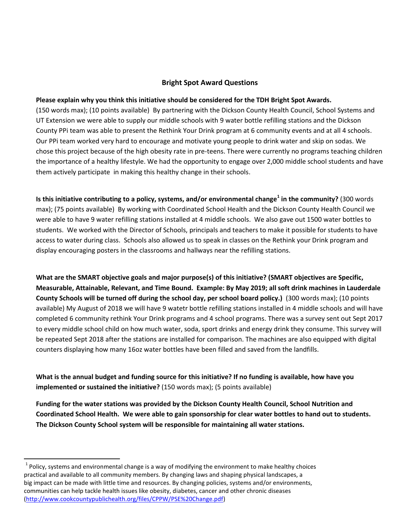## **Bright Spot Award Questions**

## **Please explain why you think this initiative should be considered for the TDH Bright Spot Awards.**

(150 words max); (10 points available) By partnering with the Dickson County Health Council, School Systems and UT Extension we were able to supply our middle schools with 9 water bottle refilling stations and the Dickson County PPi team was able to present the Rethink Your Drink program at 6 community events and at all 4 schools. Our PPi team worked very hard to encourage and motivate young people to drink water and skip on sodas. We chose this project because of the high obesity rate in pre-teens. There were currently no programs teaching children the importance of a healthy lifestyle. We had the opportunity to engage over 2,000 middle school students and have them actively participate in making this healthy change in their schools.

**Is this initiative contributing to a policy, systems, and/or environmental change<sup>1</sup> in the community?** (300 words max); (75 points available) By working with Coordinated School Health and the Dickson County Health Council we were able to have 9 water refilling stations installed at 4 middle schools. We also gave out 1500 water bottles to students. We worked with the Director of Schools, principals and teachers to make it possible for students to have access to water during class. Schools also allowed us to speak in classes on the Rethink your Drink program and display encouraging posters in the classrooms and hallways near the refilling stations.

**What are the SMART objective goals and major purpose(s) of this initiative? (SMART objectives are Specific, Measurable, Attainable, Relevant, and Time Bound. Example: By May 2019; all soft drink machines in Lauderdale County Schools will be turned off during the school day, per school board policy.)** (300 words max); (10 points available) My August of 2018 we will have 9 watetr bottle refilling stations installed in 4 middle schools and will have completed 6 community rethink Your Drink programs and 4 school programs. There was a survey sent out Sept 2017 to every middle school child on how much water, soda, sport drinks and energy drink they consume. This survey will be repeated Sept 2018 after the stations are installed for comparison. The machines are also equipped with digital counters displaying how many 16oz water bottles have been filled and saved from the landfills.

**What is the annual budget and funding source for this initiative? If no funding is available, how have you implemented or sustained the initiative?** (150 words max); (5 points available)

**Funding for the water stations was provided by the Dickson County Health Council, School Nutrition and Coordinated School Health. We were able to gain sponsorship for clear water bottles to hand out to students. The Dickson County School system will be responsible for maintaining all water stations.** 

l

 $^{1}$  Policy, systems and environmental change is a way of modifying the environment to make healthy choices practical and available to all community members. By changing laws and shaping physical landscapes, a big impact can be made with little time and resources. By changing policies, systems and/or environments, communities can help tackle health issues like obesity, diabetes, cancer and other chronic diseases [\(http://www.cookcountypublichealth.org/files/CPPW/PSE%20Change.pdf\)](http://www.cookcountypublichealth.org/files/CPPW/PSE%20Change.pdf)